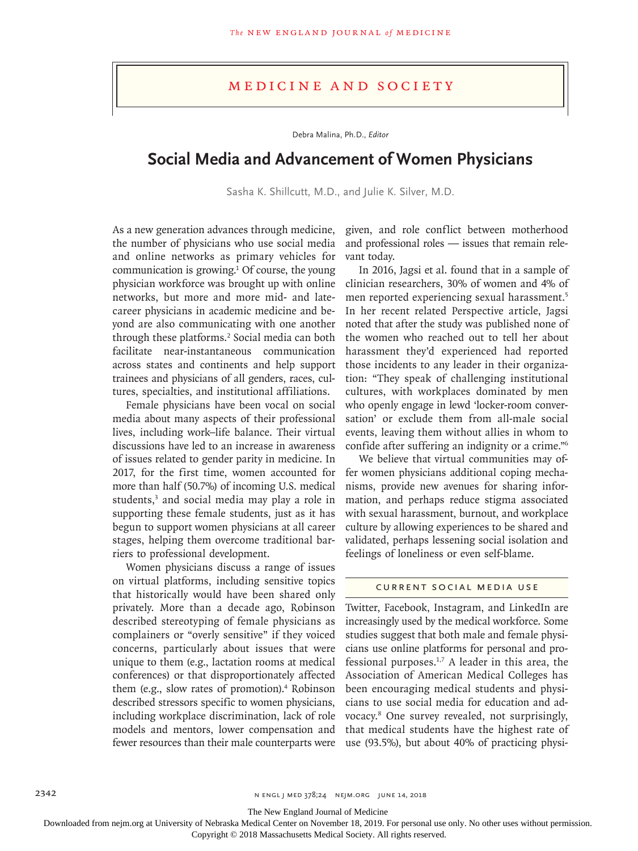## Medicine and Society

Debra Malina, Ph.D., *Editor*

# **Social Media and Advancement of Women Physicians**

Sasha K. Shillcutt, M.D., and Julie K. Silver, M.D.

As a new generation advances through medicine, the number of physicians who use social media and online networks as primary vehicles for communication is growing.<sup>1</sup> Of course, the young physician workforce was brought up with online networks, but more and more mid- and latecareer physicians in academic medicine and beyond are also communicating with one another through these platforms.<sup>2</sup> Social media can both facilitate near-instantaneous communication across states and continents and help support trainees and physicians of all genders, races, cultures, specialties, and institutional affiliations.

Female physicians have been vocal on social media about many aspects of their professional lives, including work–life balance. Their virtual discussions have led to an increase in awareness of issues related to gender parity in medicine. In 2017, for the first time, women accounted for more than half (50.7%) of incoming U.S. medical students,<sup>3</sup> and social media may play a role in supporting these female students, just as it has begun to support women physicians at all career stages, helping them overcome traditional barriers to professional development.

Women physicians discuss a range of issues on virtual platforms, including sensitive topics that historically would have been shared only privately. More than a decade ago, Robinson described stereotyping of female physicians as complainers or "overly sensitive" if they voiced concerns, particularly about issues that were unique to them (e.g., lactation rooms at medical conferences) or that disproportionately affected them (e.g., slow rates of promotion).4 Robinson described stressors specific to women physicians, including workplace discrimination, lack of role models and mentors, lower compensation and fewer resources than their male counterparts were

given, and role conflict between motherhood and professional roles — issues that remain relevant today.

In 2016, Jagsi et al. found that in a sample of clinician researchers, 30% of women and 4% of men reported experiencing sexual harassment.<sup>5</sup> In her recent related Perspective article, Jagsi noted that after the study was published none of the women who reached out to tell her about harassment they'd experienced had reported those incidents to any leader in their organization: "They speak of challenging institutional cultures, with workplaces dominated by men who openly engage in lewd 'locker-room conversation' or exclude them from all-male social events, leaving them without allies in whom to confide after suffering an indignity or a crime."6

We believe that virtual communities may offer women physicians additional coping mechanisms, provide new avenues for sharing information, and perhaps reduce stigma associated with sexual harassment, burnout, and workplace culture by allowing experiences to be shared and validated, perhaps lessening social isolation and feelings of loneliness or even self-blame.

#### Current Social Media Use

Twitter, Facebook, Instagram, and LinkedIn are increasingly used by the medical workforce. Some studies suggest that both male and female physicians use online platforms for personal and professional purposes. $1,7$  A leader in this area, the Association of American Medical Colleges has been encouraging medical students and physicians to use social media for education and advocacy.8 One survey revealed, not surprisingly, that medical students have the highest rate of use (93.5%), but about 40% of practicing physi-

The New England Journal of Medicine

Downloaded from nejm.org at University of Nebraska Medical Center on November 18, 2019. For personal use only. No other uses without permission.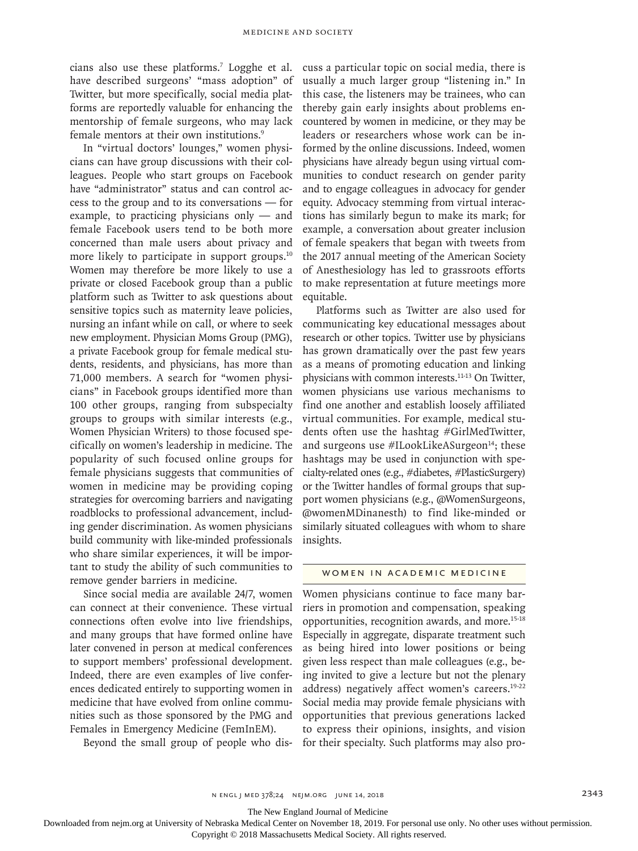cians also use these platforms.7 Logghe et al. have described surgeons' "mass adoption" of Twitter, but more specifically, social media platforms are reportedly valuable for enhancing the mentorship of female surgeons, who may lack female mentors at their own institutions.<sup>9</sup>

In "virtual doctors' lounges," women physicians can have group discussions with their colleagues. People who start groups on Facebook have "administrator" status and can control access to the group and to its conversations — for example, to practicing physicians only — and female Facebook users tend to be both more concerned than male users about privacy and more likely to participate in support groups.<sup>10</sup> Women may therefore be more likely to use a private or closed Facebook group than a public platform such as Twitter to ask questions about sensitive topics such as maternity leave policies, nursing an infant while on call, or where to seek new employment. Physician Moms Group (PMG), a private Facebook group for female medical students, residents, and physicians, has more than 71,000 members. A search for "women physicians" in Facebook groups identified more than 100 other groups, ranging from subspecialty groups to groups with similar interests (e.g., Women Physician Writers) to those focused specifically on women's leadership in medicine. The popularity of such focused online groups for female physicians suggests that communities of women in medicine may be providing coping strategies for overcoming barriers and navigating roadblocks to professional advancement, including gender discrimination. As women physicians build community with like-minded professionals who share similar experiences, it will be important to study the ability of such communities to remove gender barriers in medicine.

Since social media are available 24/7, women can connect at their convenience. These virtual connections often evolve into live friendships, and many groups that have formed online have later convened in person at medical conferences to support members' professional development. Indeed, there are even examples of live conferences dedicated entirely to supporting women in medicine that have evolved from online communities such as those sponsored by the PMG and Females in Emergency Medicine (FemInEM).

Beyond the small group of people who dis-

cuss a particular topic on social media, there is usually a much larger group "listening in." In this case, the listeners may be trainees, who can thereby gain early insights about problems encountered by women in medicine, or they may be leaders or researchers whose work can be informed by the online discussions. Indeed, women physicians have already begun using virtual communities to conduct research on gender parity and to engage colleagues in advocacy for gender equity. Advocacy stemming from virtual interactions has similarly begun to make its mark; for example, a conversation about greater inclusion of female speakers that began with tweets from the 2017 annual meeting of the American Society of Anesthesiology has led to grassroots efforts to make representation at future meetings more equitable.

Platforms such as Twitter are also used for communicating key educational messages about research or other topics. Twitter use by physicians has grown dramatically over the past few years as a means of promoting education and linking physicians with common interests.11-13 On Twitter, women physicians use various mechanisms to find one another and establish loosely affiliated virtual communities. For example, medical students often use the hashtag #GirlMedTwitter, and surgeons use  $#ILookLikeASurgeon<sup>14</sup>; these$ hashtags may be used in conjunction with specialty-related ones (e.g., #diabetes, #PlasticSurgery) or the Twitter handles of formal groups that support women physicians (e.g., @WomenSurgeons, @womenMDinanesth) to find like-minded or similarly situated colleagues with whom to share insights.

#### WOMEN IN ACADEMIC MEDICINE

Women physicians continue to face many barriers in promotion and compensation, speaking opportunities, recognition awards, and more.15-18 Especially in aggregate, disparate treatment such as being hired into lower positions or being given less respect than male colleagues (e.g., being invited to give a lecture but not the plenary address) negatively affect women's careers.19-22 Social media may provide female physicians with opportunities that previous generations lacked to express their opinions, insights, and vision for their specialty. Such platforms may also pro-

The New England Journal of Medicine

Downloaded from nejm.org at University of Nebraska Medical Center on November 18, 2019. For personal use only. No other uses without permission.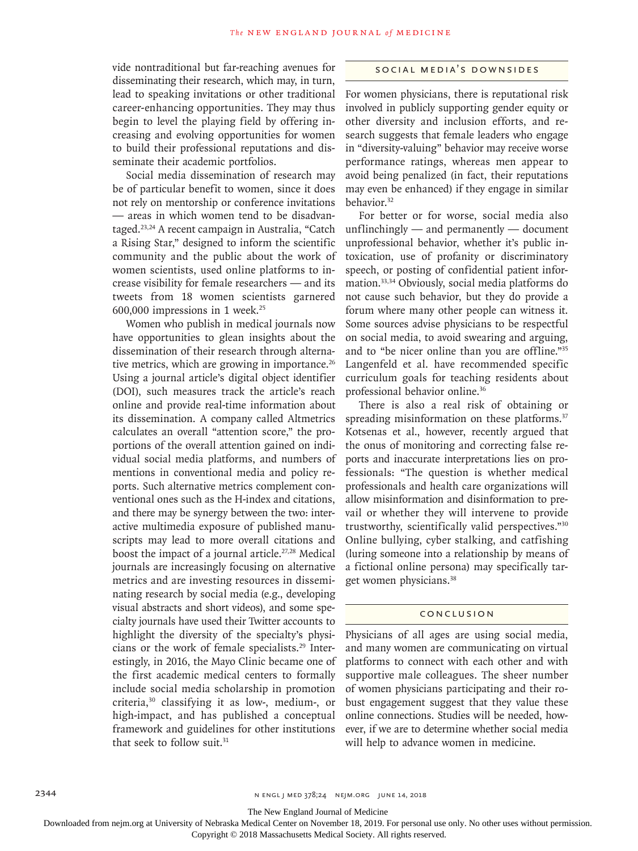vide nontraditional but far-reaching avenues for disseminating their research, which may, in turn, lead to speaking invitations or other traditional career-enhancing opportunities. They may thus begin to level the playing field by offering increasing and evolving opportunities for women to build their professional reputations and disseminate their academic portfolios.

Social media dissemination of research may be of particular benefit to women, since it does not rely on mentorship or conference invitations — areas in which women tend to be disadvantaged.23,24 A recent campaign in Australia, "Catch a Rising Star," designed to inform the scientific community and the public about the work of women scientists, used online platforms to increase visibility for female researchers — and its tweets from 18 women scientists garnered 600,000 impressions in 1 week.25

Women who publish in medical journals now have opportunities to glean insights about the dissemination of their research through alternative metrics, which are growing in importance.<sup>26</sup> Using a journal article's digital object identifier (DOI), such measures track the article's reach online and provide real-time information about its dissemination. A company called Altmetrics calculates an overall "attention score," the proportions of the overall attention gained on individual social media platforms, and numbers of mentions in conventional media and policy reports. Such alternative metrics complement conventional ones such as the H-index and citations, and there may be synergy between the two: interactive multimedia exposure of published manuscripts may lead to more overall citations and boost the impact of a journal article.<sup>27,28</sup> Medical journals are increasingly focusing on alternative metrics and are investing resources in disseminating research by social media (e.g., developing visual abstracts and short videos), and some specialty journals have used their Twitter accounts to highlight the diversity of the specialty's physicians or the work of female specialists.29 Interestingly, in 2016, the Mayo Clinic became one of the first academic medical centers to formally include social media scholarship in promotion criteria,30 classifying it as low-, medium-, or high-impact, and has published a conceptual framework and guidelines for other institutions that seek to follow suit.<sup>31</sup>

### Social Media's Downsides

For women physicians, there is reputational risk involved in publicly supporting gender equity or other diversity and inclusion efforts, and research suggests that female leaders who engage in "diversity-valuing" behavior may receive worse performance ratings, whereas men appear to avoid being penalized (in fact, their reputations may even be enhanced) if they engage in similar behavior.32

For better or for worse, social media also unflinchingly — and permanently — document unprofessional behavior, whether it's public intoxication, use of profanity or discriminatory speech, or posting of confidential patient information.33,34 Obviously, social media platforms do not cause such behavior, but they do provide a forum where many other people can witness it. Some sources advise physicians to be respectful on social media, to avoid swearing and arguing, and to "be nicer online than you are offline."35 Langenfeld et al. have recommended specific curriculum goals for teaching residents about professional behavior online.36

There is also a real risk of obtaining or spreading misinformation on these platforms.<sup>37</sup> Kotsenas et al., however, recently argued that the onus of monitoring and correcting false reports and inaccurate interpretations lies on professionals: "The question is whether medical professionals and health care organizations will allow misinformation and disinformation to prevail or whether they will intervene to provide trustworthy, scientifically valid perspectives."30 Online bullying, cyber stalking, and catfishing (luring someone into a relationship by means of a fictional online persona) may specifically target women physicians.38

#### Conclusion

Physicians of all ages are using social media, and many women are communicating on virtual platforms to connect with each other and with supportive male colleagues. The sheer number of women physicians participating and their robust engagement suggest that they value these online connections. Studies will be needed, however, if we are to determine whether social media will help to advance women in medicine.

The New England Journal of Medicine

Downloaded from nejm.org at University of Nebraska Medical Center on November 18, 2019. For personal use only. No other uses without permission.